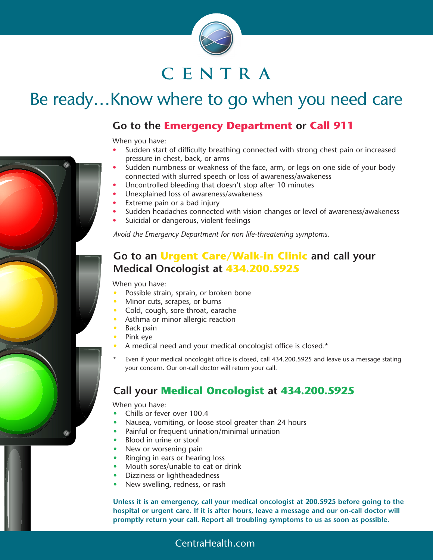

# CENTRA

# Be ready…Know where to go when you need care

#### **Go to the Emergency Department or Call 911**

When you have:

- Sudden start of difficulty breathing connected with strong chest pain or increased pressure in chest, back, or arms
- Sudden numbness or weakness of the face, arm, or legs on one side of your body connected with slurred speech or loss of awareness/awakeness
- Uncontrolled bleeding that doesn't stop after 10 minutes
- Unexplained loss of awareness/awakeness
- Extreme pain or a bad injury
- Sudden headaches connected with vision changes or level of awareness/awakeness
- Suicidal or dangerous, violent feelings

*Avoid the Emergency Department for non life-threatening symptoms.*

#### **Go to an Urgent Care/Walk-in Clinic and call your Medical Oncologist at 434.200.5925**

When you have:

- Possible strain, sprain, or broken bone
- Minor cuts, scrapes, or burns
- Cold, cough, sore throat, earache
- Asthma or minor allergic reaction
- Back pain
- Pink eye
- A medical need and your medical oncologist office is closed.\*
- Even if your medical oncologist office is closed, call 434.200.5925 and leave us a message stating your concern. Our on-call doctor will return your call.

#### **Call your Medical Oncologist at 434.200.5925**

When you have:

- Chills or fever over 100.4
- Nausea, vomiting, or loose stool greater than 24 hours
- Painful or frequent urination/minimal urination
- Blood in urine or stool
- New or worsening pain
- Ringing in ears or hearing loss
- Mouth sores/unable to eat or drink
- Dizziness or lightheadedness
- New swelling, redness, or rash

**Unless it is an emergency, call your medical oncologist at 200.5925 before going to the hospital or urgent care. If it is after hours, leave a message and our on-call doctor will promptly return your call. Report all troubling symptoms to us as soon as possible.**

#### CentraHealth.com